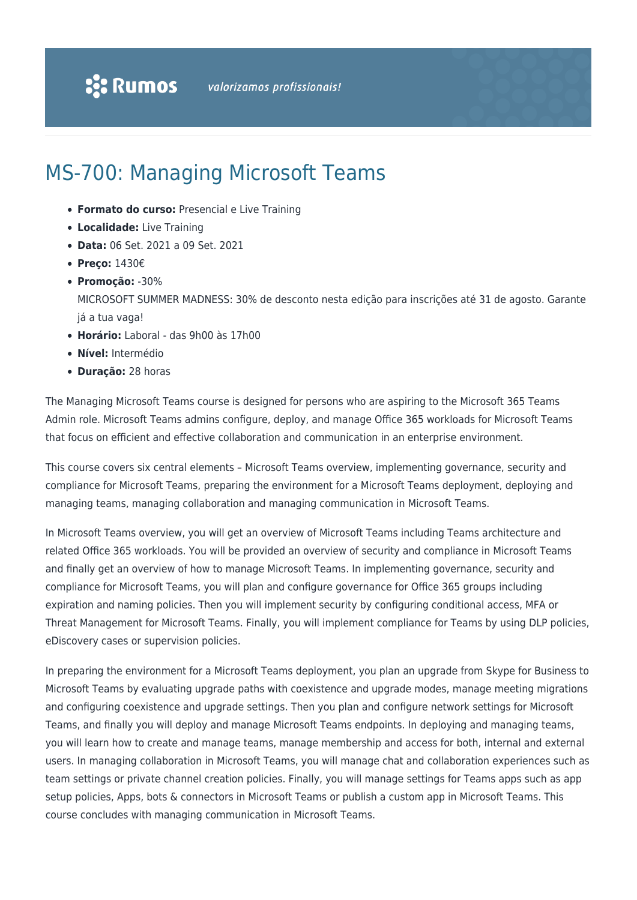# MS-700: Managing Microsoft Teams

- **Formato do curso:** Presencial e Live Training
- **Localidade:** Live Training
- **Data:** 06 Set. 2021 a 09 Set. 2021
- **Preço:** 1430€
- **Promoção:** -30%

MICROSOFT SUMMER MADNESS: 30% de desconto nesta edição para inscrições até 31 de agosto. Garante já a tua vaga!

- **Horário:** Laboral das 9h00 às 17h00
- **Nível:** Intermédio
- **Duração:** 28 horas

The Managing Microsoft Teams course is designed for persons who are aspiring to the Microsoft 365 Teams Admin role. Microsoft Teams admins configure, deploy, and manage Office 365 workloads for Microsoft Teams that focus on efficient and effective collaboration and communication in an enterprise environment.

This course covers six central elements – Microsoft Teams overview, implementing governance, security and compliance for Microsoft Teams, preparing the environment for a Microsoft Teams deployment, deploying and managing teams, managing collaboration and managing communication in Microsoft Teams.

In Microsoft Teams overview, you will get an overview of Microsoft Teams including Teams architecture and related Office 365 workloads. You will be provided an overview of security and compliance in Microsoft Teams and finally get an overview of how to manage Microsoft Teams. In implementing governance, security and compliance for Microsoft Teams, you will plan and configure governance for Office 365 groups including expiration and naming policies. Then you will implement security by configuring conditional access, MFA or Threat Management for Microsoft Teams. Finally, you will implement compliance for Teams by using DLP policies, eDiscovery cases or supervision policies.

In preparing the environment for a Microsoft Teams deployment, you plan an upgrade from Skype for Business to Microsoft Teams by evaluating upgrade paths with coexistence and upgrade modes, manage meeting migrations and configuring coexistence and upgrade settings. Then you plan and configure network settings for Microsoft Teams, and finally you will deploy and manage Microsoft Teams endpoints. In deploying and managing teams, you will learn how to create and manage teams, manage membership and access for both, internal and external users. In managing collaboration in Microsoft Teams, you will manage chat and collaboration experiences such as team settings or private channel creation policies. Finally, you will manage settings for Teams apps such as app setup policies, Apps, bots & connectors in Microsoft Teams or publish a custom app in Microsoft Teams. This course concludes with managing communication in Microsoft Teams.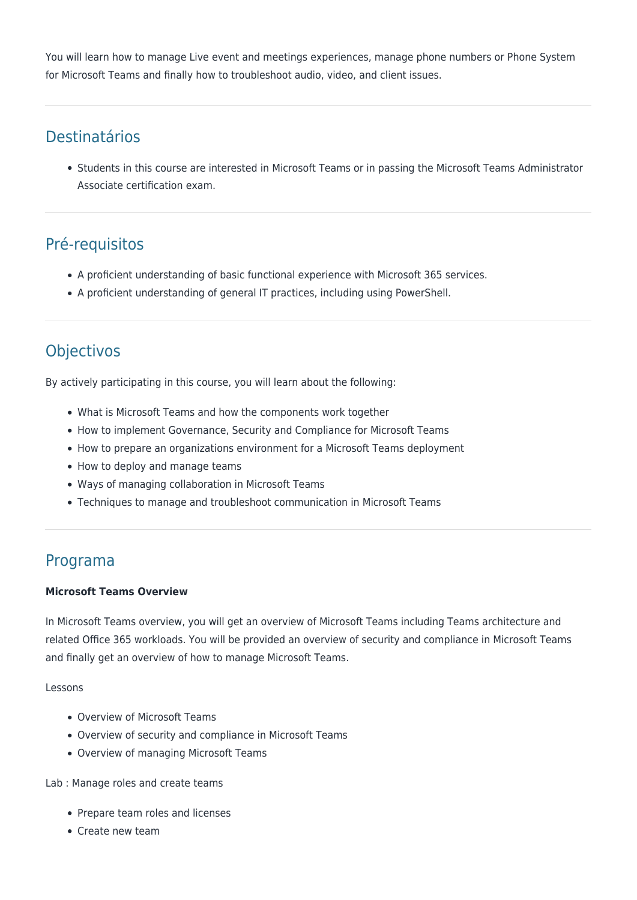You will learn how to manage Live event and meetings experiences, manage phone numbers or Phone System for Microsoft Teams and finally how to troubleshoot audio, video, and client issues.

## Destinatários

Students in this course are interested in Microsoft Teams or in passing the Microsoft Teams Administrator Associate certification exam.

# Pré-requisitos

- A proficient understanding of basic functional experience with Microsoft 365 services.
- A proficient understanding of general IT practices, including using PowerShell.

# **Objectivos**

By actively participating in this course, you will learn about the following:

- What is Microsoft Teams and how the components work together
- How to implement Governance, Security and Compliance for Microsoft Teams
- How to prepare an organizations environment for a Microsoft Teams deployment
- How to deploy and manage teams
- Ways of managing collaboration in Microsoft Teams
- Techniques to manage and troubleshoot communication in Microsoft Teams

### Programa

#### **Microsoft Teams Overview**

In Microsoft Teams overview, you will get an overview of Microsoft Teams including Teams architecture and related Office 365 workloads. You will be provided an overview of security and compliance in Microsoft Teams and finally get an overview of how to manage Microsoft Teams.

#### Lessons

- Overview of Microsoft Teams
- Overview of security and compliance in Microsoft Teams
- Overview of managing Microsoft Teams

Lab : Manage roles and create teams

- Prepare team roles and licenses
- Create new team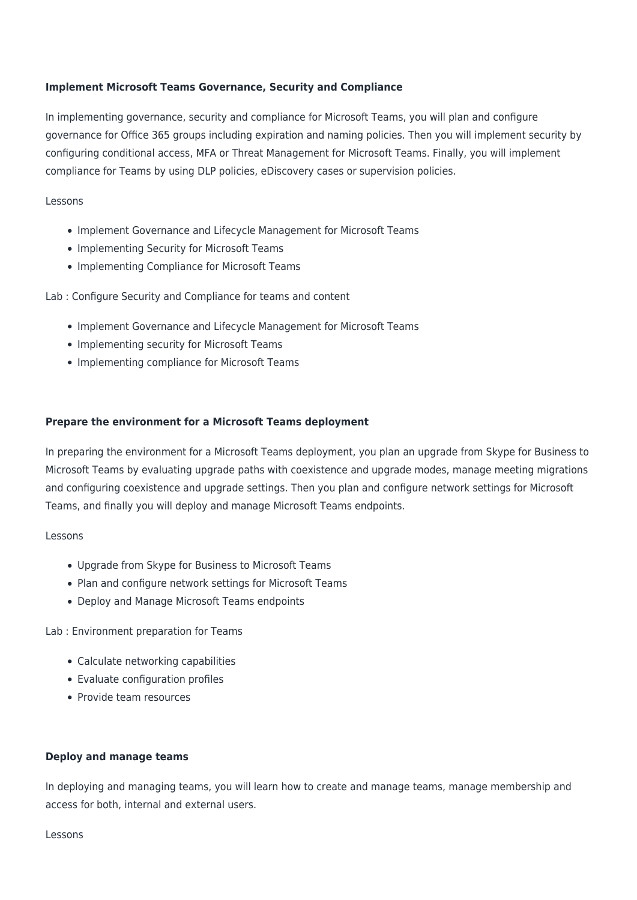#### **Implement Microsoft Teams Governance, Security and Compliance**

In implementing governance, security and compliance for Microsoft Teams, you will plan and configure governance for Office 365 groups including expiration and naming policies. Then you will implement security by configuring conditional access, MFA or Threat Management for Microsoft Teams. Finally, you will implement compliance for Teams by using DLP policies, eDiscovery cases or supervision policies.

#### Lessons

- Implement Governance and Lifecycle Management for Microsoft Teams
- Implementing Security for Microsoft Teams
- Implementing Compliance for Microsoft Teams

Lab : Configure Security and Compliance for teams and content

- Implement Governance and Lifecycle Management for Microsoft Teams
- Implementing security for Microsoft Teams
- Implementing compliance for Microsoft Teams

#### **Prepare the environment for a Microsoft Teams deployment**

In preparing the environment for a Microsoft Teams deployment, you plan an upgrade from Skype for Business to Microsoft Teams by evaluating upgrade paths with coexistence and upgrade modes, manage meeting migrations and configuring coexistence and upgrade settings. Then you plan and configure network settings for Microsoft Teams, and finally you will deploy and manage Microsoft Teams endpoints.

#### Lessons

- Upgrade from Skype for Business to Microsoft Teams
- Plan and configure network settings for Microsoft Teams
- Deploy and Manage Microsoft Teams endpoints

Lab : Environment preparation for Teams

- Calculate networking capabilities
- Evaluate configuration profiles
- Provide team resources

#### **Deploy and manage teams**

In deploying and managing teams, you will learn how to create and manage teams, manage membership and access for both, internal and external users.

#### Lessons